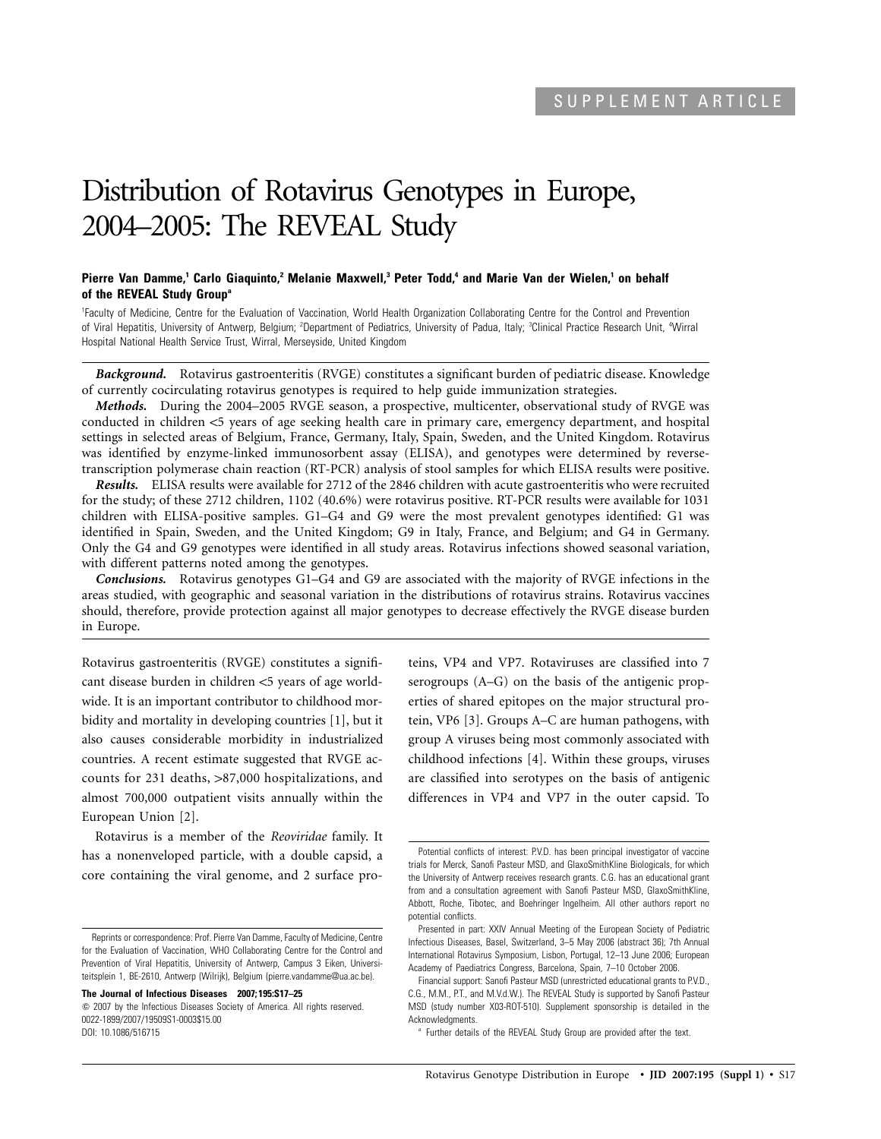# Distribution of Rotavirus Genotypes in Europe, 2004–2005: The REVEAL Study

### **Pierre Van Damme,1 Carlo Giaquinto,2 Melanie Maxwell,3 Peter Todd,4 and Marie Van der Wielen,1 on behalf of the REVEAL Study Groupa**

1 Faculty of Medicine, Centre for the Evaluation of Vaccination, World Health Organization Collaborating Centre for the Control and Prevention of Viral Hepatitis, University of Antwerp, Belgium; <sup>2</sup>Department of Pediatrics, University of Padua, Italy; <sup>3</sup>Clinical Practice Research Unit, <sup>4</sup>Wirral Hospital National Health Service Trust, Wirral, Merseyside, United Kingdom

*Background.* Rotavirus gastroenteritis (RVGE) constitutes a significant burden of pediatric disease. Knowledge of currently cocirculating rotavirus genotypes is required to help guide immunization strategies.

*Methods.* During the 2004–2005 RVGE season, a prospective, multicenter, observational study of RVGE was conducted in children <5 years of age seeking health care in primary care, emergency department, and hospital settings in selected areas of Belgium, France, Germany, Italy, Spain, Sweden, and the United Kingdom. Rotavirus was identified by enzyme-linked immunosorbent assay (ELISA), and genotypes were determined by reversetranscription polymerase chain reaction (RT-PCR) analysis of stool samples for which ELISA results were positive.

*Results.* ELISA results were available for 2712 of the 2846 children with acute gastroenteritis who were recruited for the study; of these 2712 children, 1102 (40.6%) were rotavirus positive. RT-PCR results were available for 1031 children with ELISA-positive samples. G1–G4 and G9 were the most prevalent genotypes identified: G1 was identified in Spain, Sweden, and the United Kingdom; G9 in Italy, France, and Belgium; and G4 in Germany. Only the G4 and G9 genotypes were identified in all study areas. Rotavirus infections showed seasonal variation, with different patterns noted among the genotypes.

*Conclusions.* Rotavirus genotypes G1–G4 and G9 are associated with the majority of RVGE infections in the areas studied, with geographic and seasonal variation in the distributions of rotavirus strains. Rotavirus vaccines should, therefore, provide protection against all major genotypes to decrease effectively the RVGE disease burden in Europe.

Rotavirus gastroenteritis (RVGE) constitutes a significant disease burden in children  $<$  5 years of age worldwide. It is an important contributor to childhood morbidity and mortality in developing countries [1], but it also causes considerable morbidity in industrialized countries. A recent estimate suggested that RVGE accounts for 231 deaths,  $>87,000$  hospitalizations, and almost 700,000 outpatient visits annually within the European Union [2].

Rotavirus is a member of the *Reoviridae* family. It has a nonenveloped particle, with a double capsid, a core containing the viral genome, and 2 surface pro-

**The Journal of Infectious Diseases 2007; 195:S17–25**

 $\odot$  2007 by the Infectious Diseases Society of America. All rights reserved. 0022-1899/2007/19509S1-0003\$15.00 DOI: 10.1086/516715

teins, VP4 and VP7. Rotaviruses are classified into 7 serogroups (A–G) on the basis of the antigenic properties of shared epitopes on the major structural protein, VP6 [3]. Groups A–C are human pathogens, with group A viruses being most commonly associated with childhood infections [4]. Within these groups, viruses are classified into serotypes on the basis of antigenic differences in VP4 and VP7 in the outer capsid. To

Reprints or correspondence: Prof. Pierre Van Damme, Faculty of Medicine, Centre for the Evaluation of Vaccination, WHO Collaborating Centre for the Control and Prevention of Viral Hepatitis, University of Antwerp, Campus 3 Eiken, Universiteitsplein 1, BE-2610, Antwerp (Wilrijk), Belgium (pierre.vandamme@ua.ac.be).

Potential conflicts of interest: PVD, has been principal investigator of vaccine trials for Merck, Sanofi Pasteur MSD, and GlaxoSmithKline Biologicals, for which the University of Antwerp receives research grants. C.G. has an educational grant from and a consultation agreement with Sanofi Pasteur MSD, GlaxoSmithKline, Abbott, Roche, Tibotec, and Boehringer Ingelheim. All other authors report no potential conflicts.

Presented in part: XXIV Annual Meeting of the European Society of Pediatric Infectious Diseases, Basel, Switzerland, 3–5 May 2006 (abstract 36); 7th Annual International Rotavirus Symposium, Lisbon, Portugal, 12–13 June 2006; European Academy of Paediatrics Congress, Barcelona, Spain, 7–10 October 2006.

Financial support: Sanofi Pasteur MSD (unrestricted educational grants to P.V.D., C.G., M.M., P.T., and M.V.d.W.). The REVEAL Study is supported by Sanofi Pasteur MSD (study number X03-ROT-510). Supplement sponsorship is detailed in the **Acknowledgments** 

<sup>&</sup>lt;sup>a</sup> Further details of the REVEAL Study Group are provided after the text.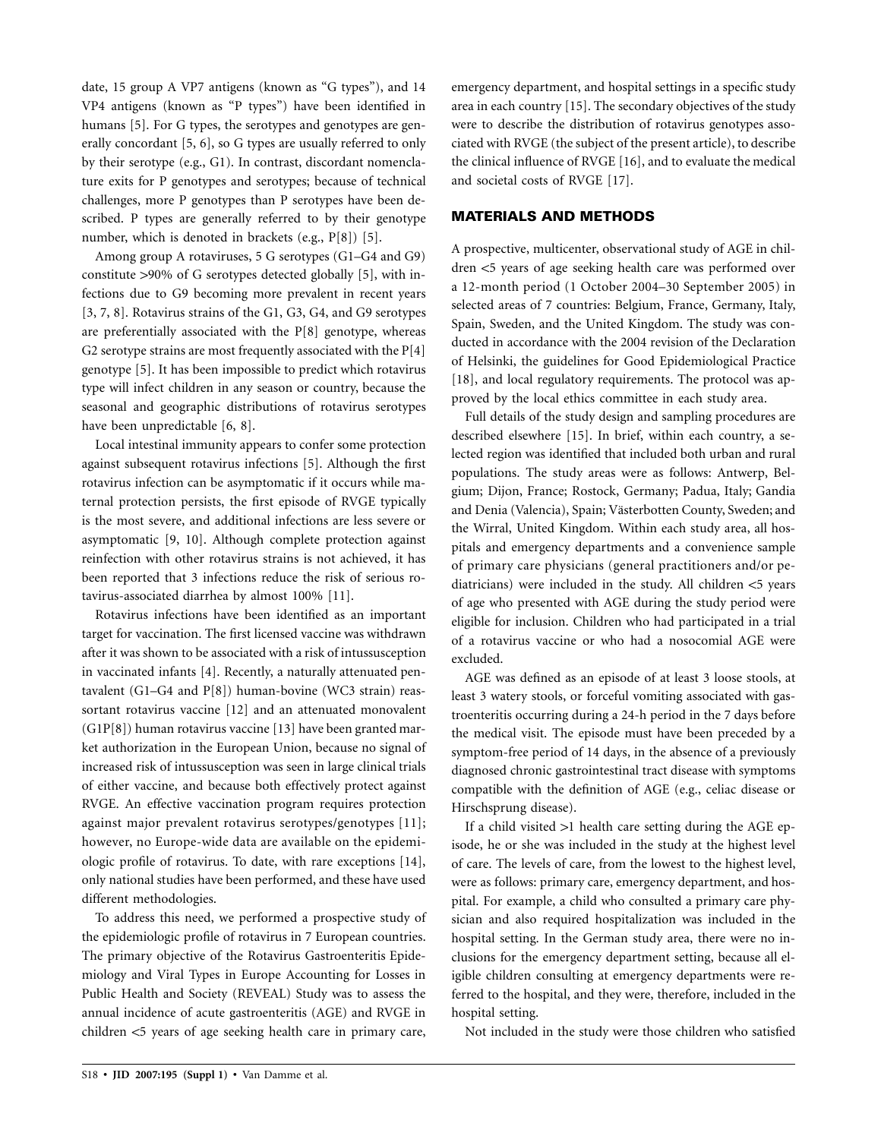date, 15 group A VP7 antigens (known as "G types"), and 14 VP4 antigens (known as "P types") have been identified in humans [5]. For G types, the serotypes and genotypes are generally concordant [5, 6], so G types are usually referred to only by their serotype (e.g., G1). In contrast, discordant nomenclature exits for P genotypes and serotypes; because of technical challenges, more P genotypes than P serotypes have been described. P types are generally referred to by their genotype number, which is denoted in brackets (e.g., P[8]) [5].

Among group A rotaviruses, 5 G serotypes (G1–G4 and G9) constitute >90% of G serotypes detected globally [5], with infections due to G9 becoming more prevalent in recent years [3, 7, 8]. Rotavirus strains of the G1, G3, G4, and G9 serotypes are preferentially associated with the P[8] genotype, whereas G2 serotype strains are most frequently associated with the P[4] genotype [5]. It has been impossible to predict which rotavirus type will infect children in any season or country, because the seasonal and geographic distributions of rotavirus serotypes have been unpredictable [6, 8].

Local intestinal immunity appears to confer some protection against subsequent rotavirus infections [5]. Although the first rotavirus infection can be asymptomatic if it occurs while maternal protection persists, the first episode of RVGE typically is the most severe, and additional infections are less severe or asymptomatic [9, 10]. Although complete protection against reinfection with other rotavirus strains is not achieved, it has been reported that 3 infections reduce the risk of serious rotavirus-associated diarrhea by almost 100% [11].

Rotavirus infections have been identified as an important target for vaccination. The first licensed vaccine was withdrawn after it was shown to be associated with a risk of intussusception in vaccinated infants [4]. Recently, a naturally attenuated pentavalent (G1–G4 and P[8]) human-bovine (WC3 strain) reassortant rotavirus vaccine [12] and an attenuated monovalent (G1P[8]) human rotavirus vaccine [13] have been granted market authorization in the European Union, because no signal of increased risk of intussusception was seen in large clinical trials of either vaccine, and because both effectively protect against RVGE. An effective vaccination program requires protection against major prevalent rotavirus serotypes/genotypes [11]; however, no Europe-wide data are available on the epidemiologic profile of rotavirus. To date, with rare exceptions [14], only national studies have been performed, and these have used different methodologies.

To address this need, we performed a prospective study of the epidemiologic profile of rotavirus in 7 European countries. The primary objective of the Rotavirus Gastroenteritis Epidemiology and Viral Types in Europe Accounting for Losses in Public Health and Society (REVEAL) Study was to assess the annual incidence of acute gastroenteritis (AGE) and RVGE in children <5 years of age seeking health care in primary care, emergency department, and hospital settings in a specific study area in each country [15]. The secondary objectives of the study were to describe the distribution of rotavirus genotypes associated with RVGE (the subject of the present article), to describe the clinical influence of RVGE [16], and to evaluate the medical and societal costs of RVGE [17].

## **MATERIALS AND METHODS**

A prospective, multicenter, observational study of AGE in children <5 years of age seeking health care was performed over a 12-month period (1 October 2004–30 September 2005) in selected areas of 7 countries: Belgium, France, Germany, Italy, Spain, Sweden, and the United Kingdom. The study was conducted in accordance with the 2004 revision of the Declaration of Helsinki, the guidelines for Good Epidemiological Practice [18], and local regulatory requirements. The protocol was approved by the local ethics committee in each study area.

Full details of the study design and sampling procedures are described elsewhere [15]. In brief, within each country, a selected region was identified that included both urban and rural populations. The study areas were as follows: Antwerp, Belgium; Dijon, France; Rostock, Germany; Padua, Italy; Gandia and Denia (Valencia), Spain; Västerbotten County, Sweden; and the Wirral, United Kingdom. Within each study area, all hospitals and emergency departments and a convenience sample of primary care physicians (general practitioners and/or pediatricians) were included in the study. All children  $<$  5 years of age who presented with AGE during the study period were eligible for inclusion. Children who had participated in a trial of a rotavirus vaccine or who had a nosocomial AGE were excluded.

AGE was defined as an episode of at least 3 loose stools, at least 3 watery stools, or forceful vomiting associated with gastroenteritis occurring during a 24-h period in the 7 days before the medical visit. The episode must have been preceded by a symptom-free period of 14 days, in the absence of a previously diagnosed chronic gastrointestinal tract disease with symptoms compatible with the definition of AGE (e.g., celiac disease or Hirschsprung disease).

If a child visited  $>1$  health care setting during the AGE episode, he or she was included in the study at the highest level of care. The levels of care, from the lowest to the highest level, were as follows: primary care, emergency department, and hospital. For example, a child who consulted a primary care physician and also required hospitalization was included in the hospital setting. In the German study area, there were no inclusions for the emergency department setting, because all eligible children consulting at emergency departments were referred to the hospital, and they were, therefore, included in the hospital setting.

Not included in the study were those children who satisfied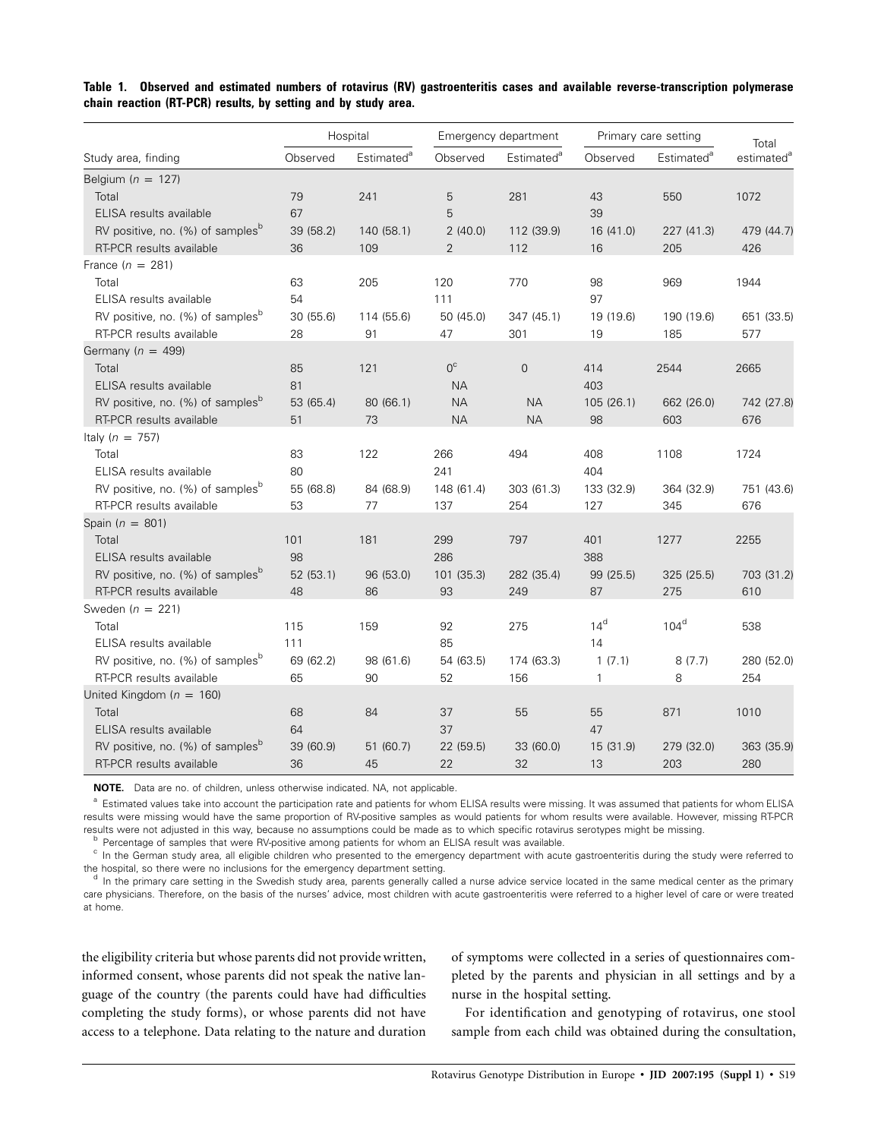|                                              | Hospital  |                        | Emergency department |                        | Primary care setting |                        | Total                  |
|----------------------------------------------|-----------|------------------------|----------------------|------------------------|----------------------|------------------------|------------------------|
| Study area, finding                          | Observed  | Estimated <sup>a</sup> | Observed             | Estimated <sup>a</sup> | Observed             | Estimated <sup>a</sup> | estimated <sup>a</sup> |
| Belgium ( $n = 127$ )                        |           |                        |                      |                        |                      |                        |                        |
| Total                                        | 79        | 241                    | 5                    | 281                    | 43                   | 550                    | 1072                   |
| ELISA results available                      | 67        |                        | 5                    |                        | 39                   |                        |                        |
| RV positive, no. (%) of samples <sup>b</sup> | 39 (58.2) | 140 (58.1)             | 2(40.0)              | 112 (39.9)             | 16(41.0)             | 227 (41.3)             | 479 (44.7)             |
| RT-PCR results available                     | 36        | 109                    | $\overline{2}$       | 112                    | 16                   | 205                    | 426                    |
| France $(n = 281)$                           |           |                        |                      |                        |                      |                        |                        |
| Total                                        | 63        | 205                    | 120                  | 770                    | 98                   | 969                    | 1944                   |
| ELISA results available                      | 54        |                        | 111                  |                        | 97                   |                        |                        |
| RV positive, no. (%) of samples <sup>b</sup> | 30(55.6)  | 114 (55.6)             | 50 (45.0)            | 347 (45.1)             | 19 (19.6)            | 190 (19.6)             | 651 (33.5)             |
| RT-PCR results available                     | 28        | 91                     | 47                   | 301                    | 19                   | 185                    | 577                    |
| Germany ( $n = 499$ )                        |           |                        |                      |                        |                      |                        |                        |
| Total                                        | 85        | 121                    | $0^{\circ}$          | $\mathbf 0$            | 414                  | 2544                   | 2665                   |
| ELISA results available                      | 81        |                        | <b>NA</b>            |                        | 403                  |                        |                        |
| RV positive, no. (%) of samples <sup>b</sup> | 53 (65.4) | 80 (66.1)              | <b>NA</b>            | <b>NA</b>              | 105 (26.1)           | 662 (26.0)             | 742 (27.8)             |
| RT-PCR results available                     | 51        | 73                     | <b>NA</b>            | <b>NA</b>              | 98                   | 603                    | 676                    |
| Italy ( $n = 757$ )                          |           |                        |                      |                        |                      |                        |                        |
| Total                                        | 83        | 122                    | 266                  | 494                    | 408                  | 1108                   | 1724                   |
| ELISA results available                      | 80        |                        | 241                  |                        | 404                  |                        |                        |
| RV positive, no. (%) of samples <sup>b</sup> | 55 (68.8) | 84 (68.9)              | 148 (61.4)           | 303 (61.3)             | 133 (32.9)           | 364 (32.9)             | 751 (43.6)             |
| RT-PCR results available                     | 53        | 77                     | 137                  | 254                    | 127                  | 345                    | 676                    |
| Spain ( $n = 801$ )                          |           |                        |                      |                        |                      |                        |                        |
| Total                                        | 101       | 181                    | 299                  | 797                    | 401                  | 1277                   | 2255                   |
| ELISA results available                      | 98        |                        | 286                  |                        | 388                  |                        |                        |
| RV positive, no. (%) of samples <sup>b</sup> | 52(53.1)  | 96 (53.0)              | 101 (35.3)           | 282 (35.4)             | 99 (25.5)            | 325 (25.5)             | 703 (31.2)             |
| RT-PCR results available                     | 48        | 86                     | 93                   | 249                    | 87                   | 275                    | 610                    |
| Sweden $(n = 221)$                           |           |                        |                      |                        |                      |                        |                        |
| Total                                        | 115       | 159                    | 92                   | 275                    | $14^d$               | 104 <sup>d</sup>       | 538                    |
| ELISA results available                      | 111       |                        | 85                   |                        | 14                   |                        |                        |
| RV positive, no. (%) of samples <sup>b</sup> | 69 (62.2) | 98 (61.6)              | 54 (63.5)            | 174 (63.3)             | 1(7.1)               | 8(7.7)                 | 280 (52.0)             |
| RT-PCR results available                     | 65        | 90                     | 52                   | 156                    | 1                    | 8                      | 254                    |
| United Kingdom ( $n = 160$ )                 |           |                        |                      |                        |                      |                        |                        |
| Total                                        | 68        | 84                     | 37                   | 55                     | 55                   | 871                    | 1010                   |
| ELISA results available                      | 64        |                        | 37                   |                        | 47                   |                        |                        |
| RV positive, no. (%) of samples <sup>b</sup> | 39 (60.9) | 51 (60.7)              | 22 (59.5)            | 33 (60.0)              | 15 (31.9)            | 279 (32.0)             | 363 (35.9)             |
| RT-PCR results available                     | 36        | 45                     | 22                   | 32                     | 13                   | 203                    | 280                    |

**Table 1. Observed and estimated numbers of rotavirus (RV) gastroenteritis cases and available reverse-transcription polymerase chain reaction (RT-PCR) results, by setting and by study area.**

**NOTE.** Data are no. of children, unless otherwise indicated. NA, not applicable.

a Estimated values take into account the participation rate and patients for whom ELISA results were missing. It was assumed that patients for whom ELISA results were missing would have the same proportion of RV-positive samples as would patients for whom results were available. However, missing RT-PCR results were available. However, missing RT-PCR results were not adjuste

<sup>b</sup> Percentage of samples that were RV-positive among patients for whom an ELISA result was available.<br><sup>c</sup> In the German study area, all eligible children who presented to the emergency department with acute gastroenteriti

In the primary care setting in the Swedish study area, parents generally called a nurse advice service located in the same medical center as the primary care physicians. Therefore, on the basis of the nurses' advice, most children with acute gastroenteritis were referred to a higher level of care or were treated at home.

the eligibility criteria but whose parents did not provide written, informed consent, whose parents did not speak the native language of the country (the parents could have had difficulties completing the study forms), or whose parents did not have access to a telephone. Data relating to the nature and duration of symptoms were collected in a series of questionnaires completed by the parents and physician in all settings and by a nurse in the hospital setting.

For identification and genotyping of rotavirus, one stool sample from each child was obtained during the consultation,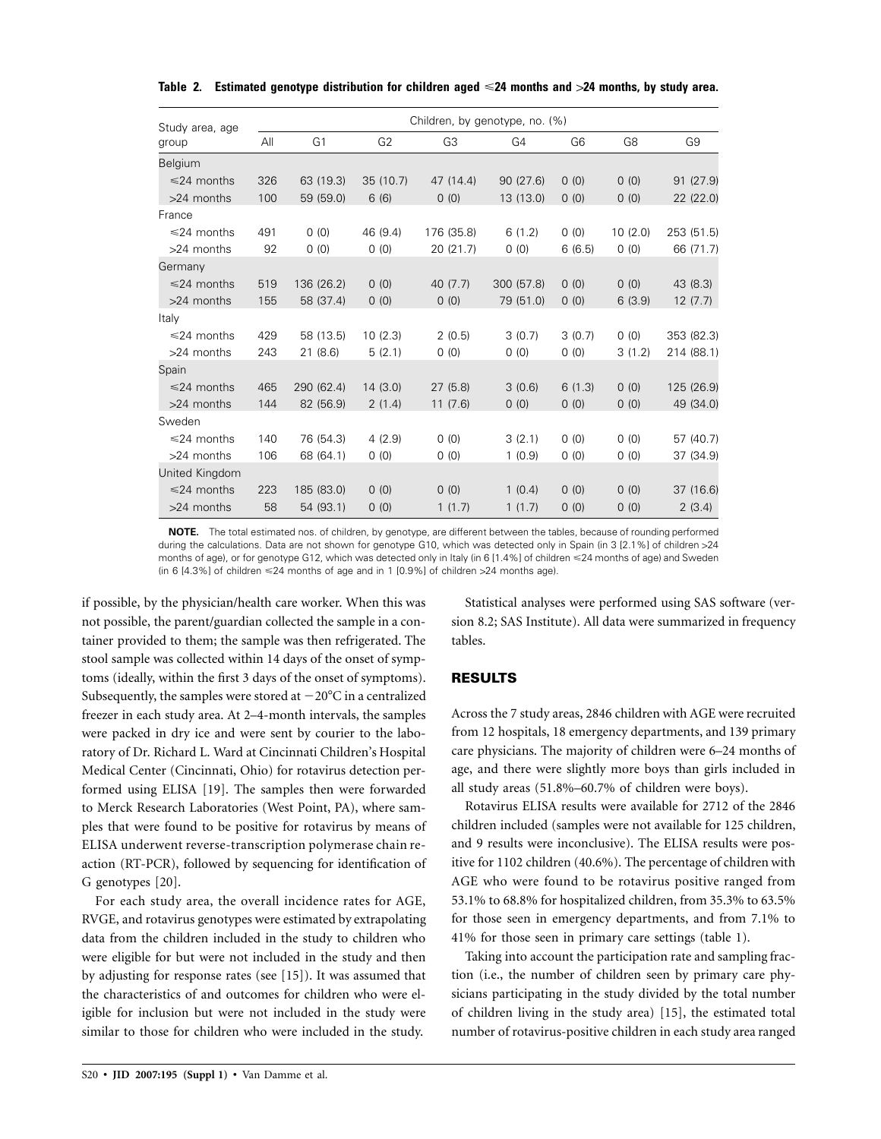| Study area, age  | Children, by genotype, no. (%) |                |                |                |            |        |         |            |
|------------------|--------------------------------|----------------|----------------|----------------|------------|--------|---------|------------|
| group            | All                            | G <sub>1</sub> | G <sub>2</sub> | G <sub>3</sub> | G4         | G6     | G8      | G9         |
| Belgium          |                                |                |                |                |            |        |         |            |
| $\leq$ 24 months | 326                            | 63 (19.3)      | 35 (10.7)      | 47 (14.4)      | 90 (27.6)  | 0(0)   | 0(0)    | 91 (27.9)  |
| >24 months       | 100                            | 59 (59.0)      | 6(6)           | 0(0)           | 13 (13.0)  | 0(0)   | 0(0)    | 22 (22.0)  |
| France           |                                |                |                |                |            |        |         |            |
| $\leq$ 24 months | 491                            | 0(0)           | 46 (9.4)       | 176 (35.8)     | 6(1.2)     | 0(0)   | 10(2.0) | 253 (51.5) |
| >24 months       | 92                             | 0(0)           | 0(0)           | 20(21.7)       | 0(0)       | 6(6.5) | 0(0)    | 66 (71.7)  |
| Germany          |                                |                |                |                |            |        |         |            |
| $\leq 24$ months | 519                            | 136 (26.2)     | 0(0)           | 40(7.7)        | 300 (57.8) | 0(0)   | 0(0)    | 43(8.3)    |
| >24 months       | 155                            | 58 (37.4)      | 0(0)           | 0(0)           | 79 (51.0)  | 0(0)   | 6(3.9)  | 12(7.7)    |
| Italy            |                                |                |                |                |            |        |         |            |
| $\leq$ 24 months | 429                            | 58 (13.5)      | 10(2.3)        | 2(0.5)         | 3(0.7)     | 3(0.7) | 0(0)    | 353 (82.3) |
| $>24$ months     | 243                            | 21(8.6)        | 5(2.1)         | 0(0)           | 0(0)       | 0(0)   | 3(1.2)  | 214 (88.1) |
| Spain            |                                |                |                |                |            |        |         |            |
| $\leq$ 24 months | 465                            | 290 (62.4)     | 14(3.0)        | 27(5.8)        | 3(0.6)     | 6(1.3) | 0(0)    | 125 (26.9) |
| $>24$ months     | 144                            | 82 (56.9)      | 2(1.4)         | 11(7.6)        | 0(0)       | 0(0)   | 0(0)    | 49 (34.0)  |
| Sweden           |                                |                |                |                |            |        |         |            |
| $\leq$ 24 months | 140                            | 76 (54.3)      | 4(2.9)         | 0(0)           | 3(2.1)     | 0(0)   | 0(0)    | 57 (40.7)  |
| $>24$ months     | 106                            | 68 (64.1)      | 0(0)           | 0(0)           | 1(0.9)     | 0(0)   | 0(0)    | 37 (34.9)  |
| United Kingdom   |                                |                |                |                |            |        |         |            |
| $\leq$ 24 months | 223                            | 185 (83.0)     | 0(0)           | 0(0)           | 1(0.4)     | 0(0)   | 0(0)    | 37 (16.6)  |
| $>24$ months     | 58                             | 54 (93.1)      | 0(0)           | 1(1.7)         | 1(1.7)     | 0(0)   | 0(0)    | 2(3.4)     |

**Table 2. Estimated genotype distribution for children aged 24 months and** 1**24 months, by study area.**

**NOTE.** The total estimated nos. of children, by genotype, are different between the tables, because of rounding performed during the calculations. Data are not shown for genotype G10, which was detected only in Spain (in 3 [2.1%] of children >24 months of age), or for genotype G12, which was detected only in Italy (in 6 [1.4%] of children ≤24 months of age) and Sweden (in 6 [4.3%] of children  $\leq$  24 months of age and in 1 [0.9%] of children > 24 months age).

if possible, by the physician/health care worker. When this was not possible, the parent/guardian collected the sample in a container provided to them; the sample was then refrigerated. The stool sample was collected within 14 days of the onset of symptoms (ideally, within the first 3 days of the onset of symptoms). Subsequently, the samples were stored at  $-20^{\circ}$ C in a centralized freezer in each study area. At 2–4-month intervals, the samples were packed in dry ice and were sent by courier to the laboratory of Dr. Richard L. Ward at Cincinnati Children's Hospital Medical Center (Cincinnati, Ohio) for rotavirus detection performed using ELISA [19]. The samples then were forwarded to Merck Research Laboratories (West Point, PA), where samples that were found to be positive for rotavirus by means of ELISA underwent reverse-transcription polymerase chain reaction (RT-PCR), followed by sequencing for identification of G genotypes [20].

For each study area, the overall incidence rates for AGE, RVGE, and rotavirus genotypes were estimated by extrapolating data from the children included in the study to children who were eligible for but were not included in the study and then by adjusting for response rates (see [15]). It was assumed that the characteristics of and outcomes for children who were eligible for inclusion but were not included in the study were similar to those for children who were included in the study.

Statistical analyses were performed using SAS software (version 8.2; SAS Institute). All data were summarized in frequency tables.

## **RESULTS**

Across the 7 study areas, 2846 children with AGE were recruited from 12 hospitals, 18 emergency departments, and 139 primary care physicians. The majority of children were 6–24 months of age, and there were slightly more boys than girls included in all study areas (51.8%–60.7% of children were boys).

Rotavirus ELISA results were available for 2712 of the 2846 children included (samples were not available for 125 children, and 9 results were inconclusive). The ELISA results were positive for 1102 children (40.6%). The percentage of children with AGE who were found to be rotavirus positive ranged from 53.1% to 68.8% for hospitalized children, from 35.3% to 63.5% for those seen in emergency departments, and from 7.1% to 41% for those seen in primary care settings (table 1).

Taking into account the participation rate and sampling fraction (i.e., the number of children seen by primary care physicians participating in the study divided by the total number of children living in the study area) [15], the estimated total number of rotavirus-positive children in each study area ranged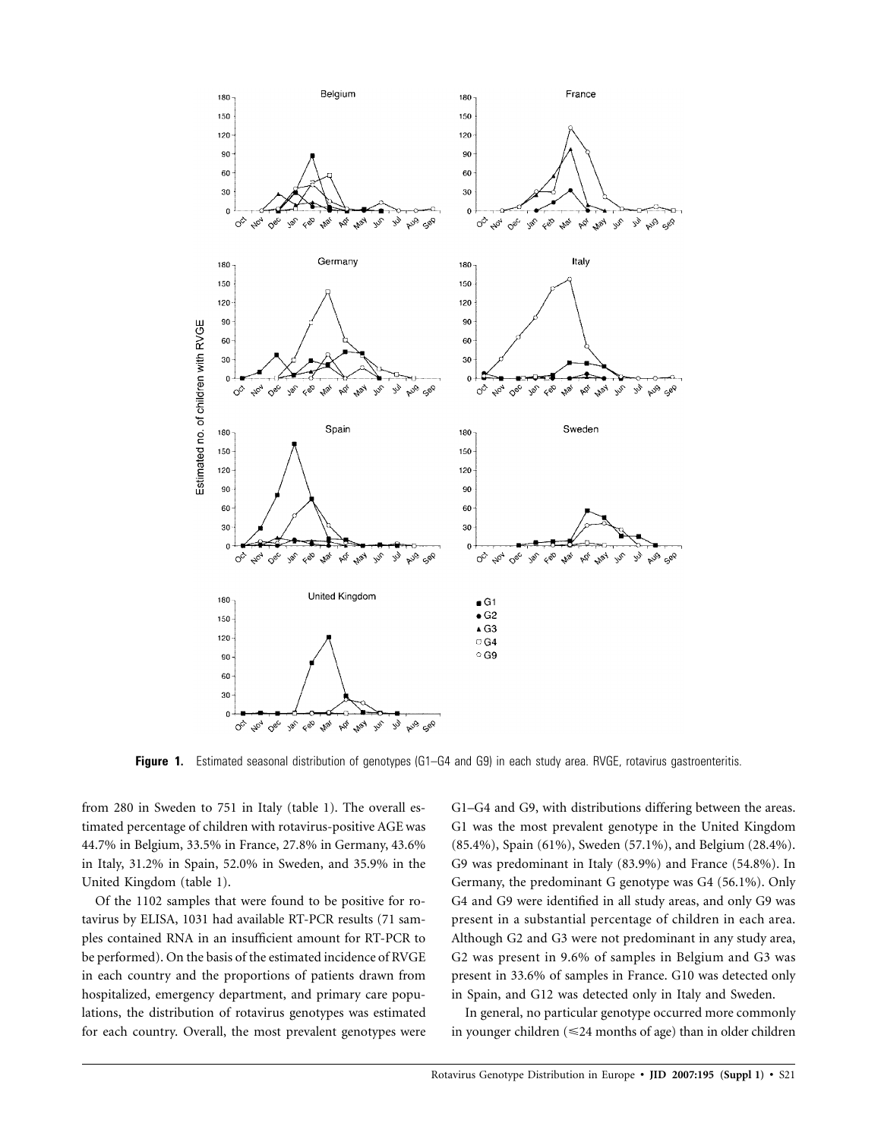

Figure 1. Estimated seasonal distribution of genotypes (G1–G4 and G9) in each study area. RVGE, rotavirus gastroenteritis.

from 280 in Sweden to 751 in Italy (table 1). The overall estimated percentage of children with rotavirus-positive AGE was 44.7% in Belgium, 33.5% in France, 27.8% in Germany, 43.6% in Italy, 31.2% in Spain, 52.0% in Sweden, and 35.9% in the United Kingdom (table 1).

Of the 1102 samples that were found to be positive for rotavirus by ELISA, 1031 had available RT-PCR results (71 samples contained RNA in an insufficient amount for RT-PCR to be performed). On the basis of the estimated incidence of RVGE in each country and the proportions of patients drawn from hospitalized, emergency department, and primary care populations, the distribution of rotavirus genotypes was estimated for each country. Overall, the most prevalent genotypes were

G1–G4 and G9, with distributions differing between the areas. G1 was the most prevalent genotype in the United Kingdom (85.4%), Spain (61%), Sweden (57.1%), and Belgium (28.4%). G9 was predominant in Italy (83.9%) and France (54.8%). In Germany, the predominant G genotype was G4 (56.1%). Only G4 and G9 were identified in all study areas, and only G9 was present in a substantial percentage of children in each area. Although G2 and G3 were not predominant in any study area, G2 was present in 9.6% of samples in Belgium and G3 was present in 33.6% of samples in France. G10 was detected only in Spain, and G12 was detected only in Italy and Sweden.

In general, no particular genotype occurred more commonly in younger children  $(\leq 24$  months of age) than in older children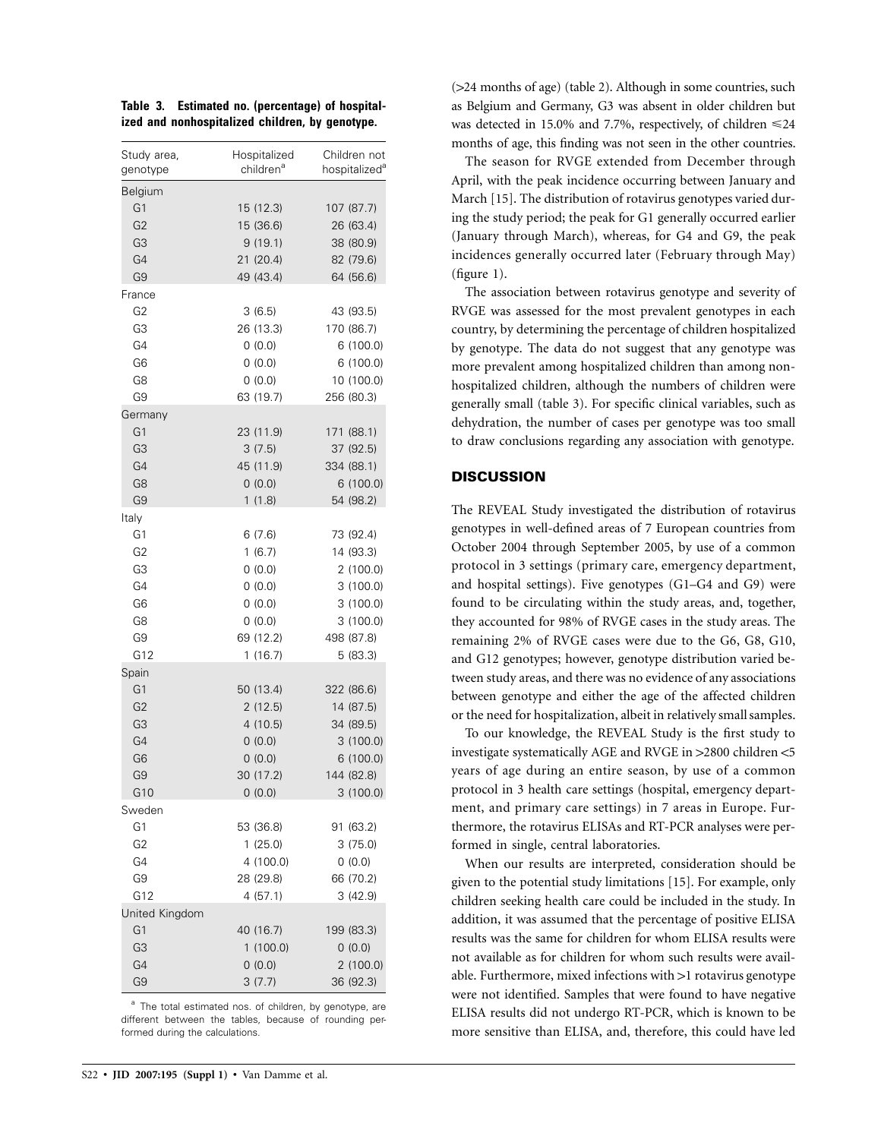| Table 3. | <b>Estimated no. (percentage) of hospital-</b>  |
|----------|-------------------------------------------------|
|          | ized and nonhospitalized children, by genotype. |

| Study area,<br>genotype | Hospitalized<br>children <sup>a</sup> | Children not<br>hospitalized <sup>a</sup> |
|-------------------------|---------------------------------------|-------------------------------------------|
| Belgium                 |                                       |                                           |
| G <sub>1</sub>          | 15 (12.3)                             | 107 (87.7)                                |
| G <sub>2</sub>          | 15 (36.6)                             | 26 (63.4)                                 |
| G3                      | 9(19.1)                               | 38 (80.9)                                 |
| G4                      | 21 (20.4)                             | 82 (79.6)                                 |
| G <sub>9</sub>          |                                       |                                           |
|                         | 49 (43.4)                             | 64 (56.6)                                 |
| France                  |                                       |                                           |
| G <sub>2</sub>          | 3(6.5)                                | 43 (93.5)                                 |
| G3                      | 26 (13.3)                             | 170 (86.7)                                |
| G4                      | 0(0.0)                                | 6 (100.0)                                 |
| G <sub>6</sub>          | 0(0.0)                                | 6 (100.0)                                 |
| G8                      | 0(0.0)                                | 10 (100.0)                                |
| G <sub>9</sub>          | 63 (19.7)                             | 256 (80.3)                                |
| Germany                 |                                       |                                           |
| G <sub>1</sub>          | 23 (11.9)                             | 171 (88.1)                                |
| G3                      | 3(7.5)                                | 37 (92.5)                                 |
| G4                      | 45 (11.9)                             | 334 (88.1)                                |
| G8                      | 0(0.0)                                | 6(100.0)                                  |
| G <sub>9</sub>          | 1(1.8)                                | 54 (98.2)                                 |
| Italy                   |                                       |                                           |
| G1                      | 6(7.6)                                | 73 (92.4)                                 |
| G <sub>2</sub>          | 1(6.7)                                | 14 (93.3)                                 |
| G3                      | 0(0.0)                                | 2(100.0)                                  |
| G4                      | 0(0.0)                                | 3 (100.0)                                 |
| G <sub>6</sub>          | 0(0.0)                                | 3 (100.0)                                 |
| G8                      | 0(0.0)                                | 3(100.0)                                  |
| G <sub>9</sub>          | 69 (12.2)                             | 498 (87.8)                                |
| G12                     | 1(16.7)                               | 5(83.3)                                   |
| Spain                   |                                       |                                           |
| G <sub>1</sub>          |                                       |                                           |
| G <sub>2</sub>          | 50 (13.4)<br>2(12.5)                  | 322 (86.6)                                |
|                         |                                       | 14 (87.5)                                 |
| G3                      | 4(10.5)                               | 34 (89.5)                                 |
| G4                      | 0(0.0)                                | 3(100.0)                                  |
| G <sub>6</sub>          | 0(0.0)                                | 6(100.0)                                  |
| G <sub>9</sub>          | 30 (17.2)                             | 144 (82.8)                                |
| G10                     | 0(0.0)                                | 3(100.0)                                  |
| Sweden                  |                                       |                                           |
| G1                      | 53 (36.8)                             | 91 (63.2)                                 |
| G <sub>2</sub>          | 1(25.0)                               | 3(75.0)                                   |
| G4                      | 4 (100.0)                             | (0.0)                                     |
| G <sub>9</sub>          | 28 (29.8)                             | 66 (70.2)                                 |
| G12                     | 4(57.1)                               | 3(42.9)                                   |
| United Kingdom          |                                       |                                           |
| G <sub>1</sub>          | 40 (16.7)                             | 199 (83.3)                                |
| G <sub>3</sub>          | 1(100.0)                              | (0.0)                                     |
| G4                      | 0(0.0)                                | 2(100.0)                                  |
| G <sub>9</sub>          | 3(7.7)                                | 36 (92.3)                                 |

<sup>a</sup> The total estimated nos. of children, by genotype, are different between the tables, because of rounding performed during the calculations.

 $(>=24$  months of age) (table 2). Although in some countries, such as Belgium and Germany, G3 was absent in older children but was detected in 15.0% and 7.7%, respectively, of children  $\leq 24$ months of age, this finding was not seen in the other countries.

The season for RVGE extended from December through April, with the peak incidence occurring between January and March [15]. The distribution of rotavirus genotypes varied during the study period; the peak for G1 generally occurred earlier (January through March), whereas, for G4 and G9, the peak incidences generally occurred later (February through May) (figure 1).

The association between rotavirus genotype and severity of RVGE was assessed for the most prevalent genotypes in each country, by determining the percentage of children hospitalized by genotype. The data do not suggest that any genotype was more prevalent among hospitalized children than among nonhospitalized children, although the numbers of children were generally small (table 3). For specific clinical variables, such as dehydration, the number of cases per genotype was too small to draw conclusions regarding any association with genotype.

# **DISCUSSION**

The REVEAL Study investigated the distribution of rotavirus genotypes in well-defined areas of 7 European countries from October 2004 through September 2005, by use of a common protocol in 3 settings (primary care, emergency department, and hospital settings). Five genotypes (G1–G4 and G9) were found to be circulating within the study areas, and, together, they accounted for 98% of RVGE cases in the study areas. The remaining 2% of RVGE cases were due to the G6, G8, G10, and G12 genotypes; however, genotype distribution varied between study areas, and there was no evidence of any associations between genotype and either the age of the affected children or the need for hospitalization, albeit in relatively small samples.

To our knowledge, the REVEAL Study is the first study to investigate systematically AGE and RVGE in  $>$ 2800 children  $<$ 5 years of age during an entire season, by use of a common protocol in 3 health care settings (hospital, emergency department, and primary care settings) in 7 areas in Europe. Furthermore, the rotavirus ELISAs and RT-PCR analyses were performed in single, central laboratories.

When our results are interpreted, consideration should be given to the potential study limitations [15]. For example, only children seeking health care could be included in the study. In addition, it was assumed that the percentage of positive ELISA results was the same for children for whom ELISA results were not available as for children for whom such results were available. Furthermore, mixed infections with  $>1$  rotavirus genotype were not identified. Samples that were found to have negative ELISA results did not undergo RT-PCR, which is known to be more sensitive than ELISA, and, therefore, this could have led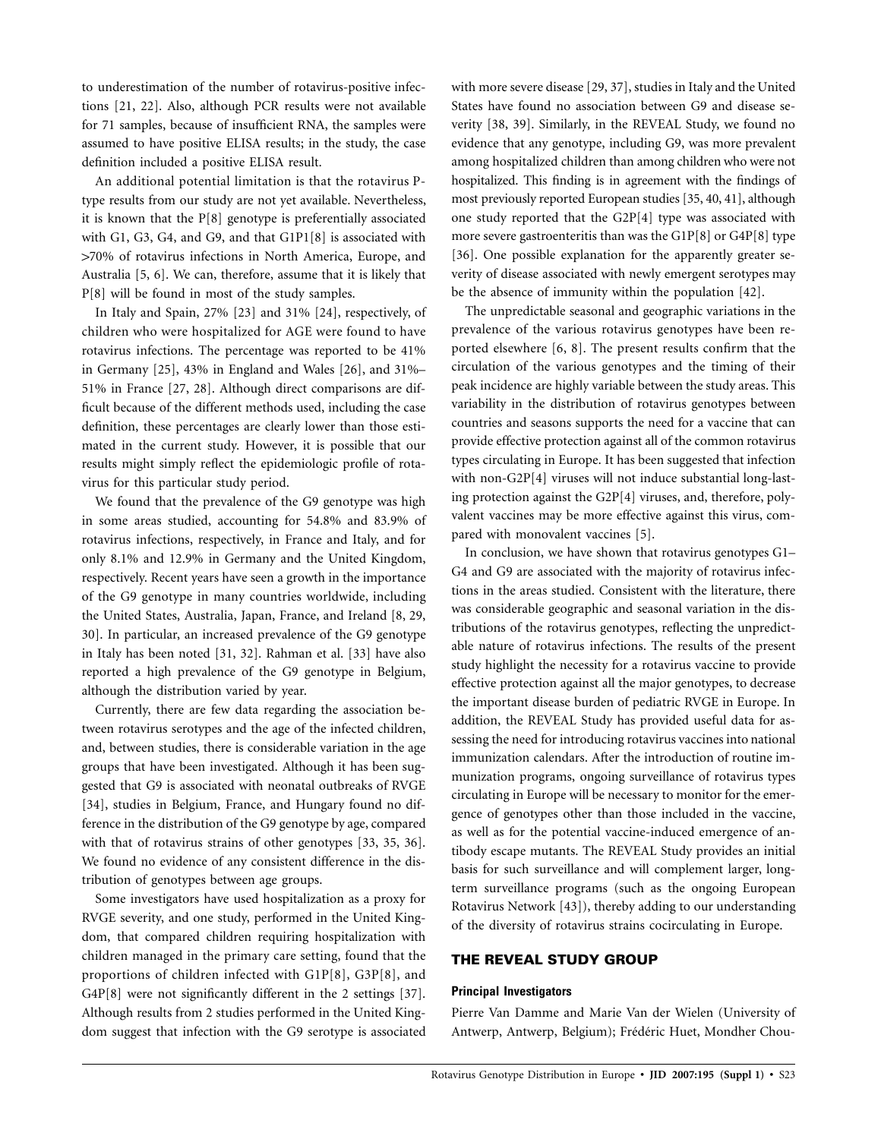to underestimation of the number of rotavirus-positive infections [21, 22]. Also, although PCR results were not available for 71 samples, because of insufficient RNA, the samples were assumed to have positive ELISA results; in the study, the case definition included a positive ELISA result.

An additional potential limitation is that the rotavirus Ptype results from our study are not yet available. Nevertheless, it is known that the P[8] genotype is preferentially associated with G1, G3, G4, and G9, and that G1P1[8] is associated with 170% of rotavirus infections in North America, Europe, and Australia [5, 6]. We can, therefore, assume that it is likely that P[8] will be found in most of the study samples.

In Italy and Spain, 27% [23] and 31% [24], respectively, of children who were hospitalized for AGE were found to have rotavirus infections. The percentage was reported to be 41% in Germany [25], 43% in England and Wales [26], and 31%– 51% in France [27, 28]. Although direct comparisons are difficult because of the different methods used, including the case definition, these percentages are clearly lower than those estimated in the current study. However, it is possible that our results might simply reflect the epidemiologic profile of rotavirus for this particular study period.

We found that the prevalence of the G9 genotype was high in some areas studied, accounting for 54.8% and 83.9% of rotavirus infections, respectively, in France and Italy, and for only 8.1% and 12.9% in Germany and the United Kingdom, respectively. Recent years have seen a growth in the importance of the G9 genotype in many countries worldwide, including the United States, Australia, Japan, France, and Ireland [8, 29, 30]. In particular, an increased prevalence of the G9 genotype in Italy has been noted [31, 32]. Rahman et al. [33] have also reported a high prevalence of the G9 genotype in Belgium, although the distribution varied by year.

Currently, there are few data regarding the association between rotavirus serotypes and the age of the infected children, and, between studies, there is considerable variation in the age groups that have been investigated. Although it has been suggested that G9 is associated with neonatal outbreaks of RVGE [34], studies in Belgium, France, and Hungary found no difference in the distribution of the G9 genotype by age, compared with that of rotavirus strains of other genotypes [33, 35, 36]. We found no evidence of any consistent difference in the distribution of genotypes between age groups.

Some investigators have used hospitalization as a proxy for RVGE severity, and one study, performed in the United Kingdom, that compared children requiring hospitalization with children managed in the primary care setting, found that the proportions of children infected with G1P[8], G3P[8], and G4P[8] were not significantly different in the 2 settings [37]. Although results from 2 studies performed in the United Kingdom suggest that infection with the G9 serotype is associated with more severe disease [29, 37], studies in Italy and the United States have found no association between G9 and disease severity [38, 39]. Similarly, in the REVEAL Study, we found no evidence that any genotype, including G9, was more prevalent among hospitalized children than among children who were not hospitalized. This finding is in agreement with the findings of most previously reported European studies [35, 40, 41], although one study reported that the G2P[4] type was associated with more severe gastroenteritis than was the G1P[8] or G4P[8] type [36]. One possible explanation for the apparently greater severity of disease associated with newly emergent serotypes may be the absence of immunity within the population [42].

The unpredictable seasonal and geographic variations in the prevalence of the various rotavirus genotypes have been reported elsewhere [6, 8]. The present results confirm that the circulation of the various genotypes and the timing of their peak incidence are highly variable between the study areas. This variability in the distribution of rotavirus genotypes between countries and seasons supports the need for a vaccine that can provide effective protection against all of the common rotavirus types circulating in Europe. It has been suggested that infection with non-G2P[4] viruses will not induce substantial long-lasting protection against the G2P[4] viruses, and, therefore, polyvalent vaccines may be more effective against this virus, compared with monovalent vaccines [5].

In conclusion, we have shown that rotavirus genotypes G1– G4 and G9 are associated with the majority of rotavirus infections in the areas studied. Consistent with the literature, there was considerable geographic and seasonal variation in the distributions of the rotavirus genotypes, reflecting the unpredictable nature of rotavirus infections. The results of the present study highlight the necessity for a rotavirus vaccine to provide effective protection against all the major genotypes, to decrease the important disease burden of pediatric RVGE in Europe. In addition, the REVEAL Study has provided useful data for assessing the need for introducing rotavirus vaccines into national immunization calendars. After the introduction of routine immunization programs, ongoing surveillance of rotavirus types circulating in Europe will be necessary to monitor for the emergence of genotypes other than those included in the vaccine, as well as for the potential vaccine-induced emergence of antibody escape mutants. The REVEAL Study provides an initial basis for such surveillance and will complement larger, longterm surveillance programs (such as the ongoing European Rotavirus Network [43]), thereby adding to our understanding of the diversity of rotavirus strains cocirculating in Europe.

#### **THE REVEAL STUDY GROUP**

#### **Principal Investigators**

Pierre Van Damme and Marie Van der Wielen (University of Antwerp, Antwerp, Belgium); Frédéric Huet, Mondher Chou-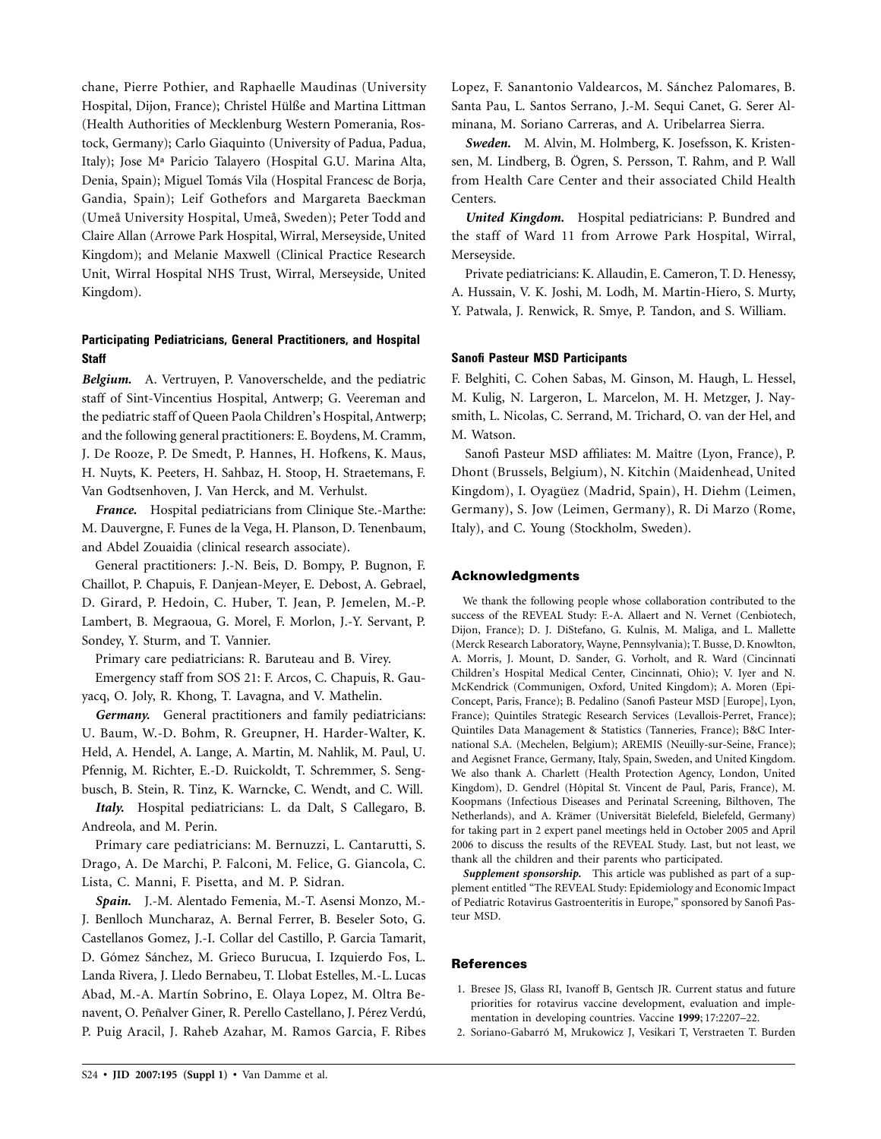chane, Pierre Pothier, and Raphaelle Maudinas (University Hospital, Dijon, France); Christel Hülße and Martina Littman (Health Authorities of Mecklenburg Western Pomerania, Rostock, Germany); Carlo Giaquinto (University of Padua, Padua, Italy); Jose Mª Paricio Talayero (Hospital G.U. Marina Alta, Denia, Spain); Miguel Tomás Vila (Hospital Francesc de Borja, Gandia, Spain); Leif Gothefors and Margareta Baeckman (Umeå University Hospital, Umeå, Sweden); Peter Todd and Claire Allan (Arrowe Park Hospital, Wirral, Merseyside, United Kingdom); and Melanie Maxwell (Clinical Practice Research Unit, Wirral Hospital NHS Trust, Wirral, Merseyside, United Kingdom).

# **Participating Pediatricians, General Practitioners, and Hospital Staff**

*Belgium.* A. Vertruyen, P. Vanoverschelde, and the pediatric staff of Sint-Vincentius Hospital, Antwerp; G. Veereman and the pediatric staff of Queen Paola Children's Hospital, Antwerp; and the following general practitioners: E. Boydens, M. Cramm, J. De Rooze, P. De Smedt, P. Hannes, H. Hofkens, K. Maus, H. Nuyts, K. Peeters, H. Sahbaz, H. Stoop, H. Straetemans, F. Van Godtsenhoven, J. Van Herck, and M. Verhulst.

*France.* Hospital pediatricians from Clinique Ste.-Marthe: M. Dauvergne, F. Funes de la Vega, H. Planson, D. Tenenbaum, and Abdel Zouaidia (clinical research associate).

General practitioners: J.-N. Beis, D. Bompy, P. Bugnon, F. Chaillot, P. Chapuis, F. Danjean-Meyer, E. Debost, A. Gebrael, D. Girard, P. Hedoin, C. Huber, T. Jean, P. Jemelen, M.-P. Lambert, B. Megraoua, G. Morel, F. Morlon, J.-Y. Servant, P. Sondey, Y. Sturm, and T. Vannier.

Primary care pediatricians: R. Baruteau and B. Virey.

Emergency staff from SOS 21: F. Arcos, C. Chapuis, R. Gauyacq, O. Joly, R. Khong, T. Lavagna, and V. Mathelin.

*Germany.* General practitioners and family pediatricians: U. Baum, W.-D. Bohm, R. Greupner, H. Harder-Walter, K. Held, A. Hendel, A. Lange, A. Martin, M. Nahlik, M. Paul, U. Pfennig, M. Richter, E.-D. Ruickoldt, T. Schremmer, S. Sengbusch, B. Stein, R. Tinz, K. Warncke, C. Wendt, and C. Will.

*Italy.* Hospital pediatricians: L. da Dalt, S Callegaro, B. Andreola, and M. Perin.

Primary care pediatricians: M. Bernuzzi, L. Cantarutti, S. Drago, A. De Marchi, P. Falconi, M. Felice, G. Giancola, C. Lista, C. Manni, F. Pisetta, and M. P. Sidran.

*Spain.* J.-M. Alentado Femenia, M.-T. Asensi Monzo, M.- J. Benlloch Muncharaz, A. Bernal Ferrer, B. Beseler Soto, G. Castellanos Gomez, J.-I. Collar del Castillo, P. Garcia Tamarit, D. Gómez Sánchez, M. Grieco Burucua, I. Izquierdo Fos, L. Landa Rivera, J. Lledo Bernabeu, T. Llobat Estelles, M.-L. Lucas Abad, M.-A. Martín Sobrino, E. Olaya Lopez, M. Oltra Benavent, O. Peñalver Giner, R. Perello Castellano, J. Pérez Verdú, P. Puig Aracil, J. Raheb Azahar, M. Ramos Garcia, F. Ribes Lopez, F. Sanantonio Valdearcos, M. Sánchez Palomares, B. Santa Pau, L. Santos Serrano, J.-M. Sequi Canet, G. Serer Alminana, M. Soriano Carreras, and A. Uribelarrea Sierra.

*Sweden.* M. Alvin, M. Holmberg, K. Josefsson, K. Kristensen, M. Lindberg, B. Ögren, S. Persson, T. Rahm, and P. Wall from Health Care Center and their associated Child Health Centers.

*United Kingdom.* Hospital pediatricians: P. Bundred and the staff of Ward 11 from Arrowe Park Hospital, Wirral, Merseyside.

Private pediatricians: K. Allaudin, E. Cameron, T. D. Henessy, A. Hussain, V. K. Joshi, M. Lodh, M. Martin-Hiero, S. Murty, Y. Patwala, J. Renwick, R. Smye, P. Tandon, and S. William.

## **Sanofi Pasteur MSD Participants**

F. Belghiti, C. Cohen Sabas, M. Ginson, M. Haugh, L. Hessel, M. Kulig, N. Largeron, L. Marcelon, M. H. Metzger, J. Naysmith, L. Nicolas, C. Serrand, M. Trichard, O. van der Hel, and M. Watson.

Sanofi Pasteur MSD affiliates: M. Maître (Lyon, France), P. Dhont (Brussels, Belgium), N. Kitchin (Maidenhead, United Kingdom), I. Oyagüez (Madrid, Spain), H. Diehm (Leimen, Germany), S. Jow (Leimen, Germany), R. Di Marzo (Rome, Italy), and C. Young (Stockholm, Sweden).

#### **Acknowledgments**

We thank the following people whose collaboration contributed to the success of the REVEAL Study: F.-A. Allaert and N. Vernet (Cenbiotech, Dijon, France); D. J. DiStefano, G. Kulnis, M. Maliga, and L. Mallette (Merck Research Laboratory, Wayne, Pennsylvania); T. Busse, D. Knowlton, A. Morris, J. Mount, D. Sander, G. Vorholt, and R. Ward (Cincinnati Children's Hospital Medical Center, Cincinnati, Ohio); V. Iyer and N. McKendrick (Communigen, Oxford, United Kingdom); A. Moren (Epi-Concept, Paris, France); B. Pedalino (Sanofi Pasteur MSD [Europe], Lyon, France); Quintiles Strategic Research Services (Levallois-Perret, France); Quintiles Data Management & Statistics (Tanneries, France); B&C International S.A. (Mechelen, Belgium); AREMIS (Neuilly-sur-Seine, France); and Aegisnet France, Germany, Italy, Spain, Sweden, and United Kingdom. We also thank A. Charlett (Health Protection Agency, London, United Kingdom), D. Gendrel (Hôpital St. Vincent de Paul, Paris, France), M. Koopmans (Infectious Diseases and Perinatal Screening, Bilthoven, The Netherlands), and A. Krämer (Universität Bielefeld, Bielefeld, Germany) for taking part in 2 expert panel meetings held in October 2005 and April 2006 to discuss the results of the REVEAL Study. Last, but not least, we thank all the children and their parents who participated.

*Supplement sponsorship.* This article was published as part of a supplement entitled "The REVEAL Study: Epidemiology and Economic Impact of Pediatric Rotavirus Gastroenteritis in Europe," sponsored by Sanofi Pasteur MSD.

#### **References**

- 1. Bresee JS, Glass RI, Ivanoff B, Gentsch JR. Current status and future priorities for rotavirus vaccine development, evaluation and implementation in developing countries. Vaccine **1999**; 17:2207–22.
- 2. Soriano-Gabarró M, Mrukowicz J, Vesikari T, Verstraeten T. Burden